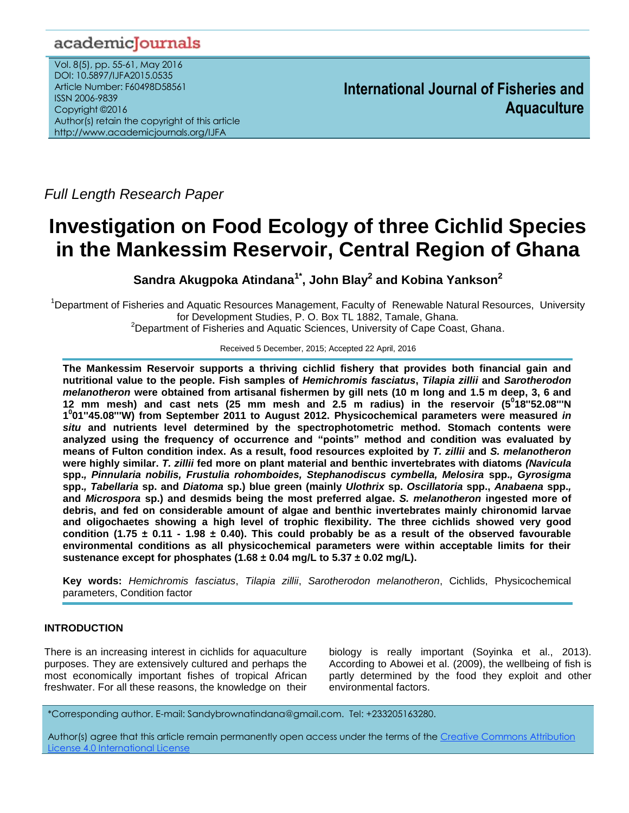# academicJournals

Vol. 8(5), pp. 55-61, May 2016 DOI: 10.5897/IJFA2015.0535 Article Number: F60498D58561 ISSN 2006-9839 Copyright ©2016 Author(s) retain the copyright of this article http://www.academicjournals.org/IJFA

**International Journal of Fisheries and Aquaculture**

*Full Length Research Paper*

# **Investigation on Food Ecology of three Cichlid Species in the Mankessim Reservoir, Central Region of Ghana**

**Sandra Akugpoka Atindana1\*, John Blay<sup>2</sup> and Kobina Yankson<sup>2</sup>**

<sup>1</sup>Department of Fisheries and Aquatic Resources Management, Faculty of Renewable Natural Resources, University for Development Studies, P. O. Box TL 1882, Tamale, Ghana. <sup>2</sup>Department of Fisheries and Aquatic Sciences, University of Cape Coast, Ghana.

Received 5 December, 2015; Accepted 22 April, 2016

**The Mankessim Reservoir supports a thriving cichlid fishery that provides both financial gain and nutritional value to the people. Fish samples of** *Hemichromis fasciatus***,** *Tilapia zillii* **and** *Sarotherodon melanotheron* **were obtained from artisanal fishermen by gill nets (10 m long and 1.5 m deep, 3, 6 and 12 mm mesh) and cast nets (25 mm mesh and 2.5 m radius) in the reservoir (5<sup>0</sup> 18''52.08'''N 1 0 01''45.08'''W) from September 2011 to August 2012. Physicochemical parameters were measured** *in situ* **and nutrients level determined by the spectrophotometric method. Stomach contents were analyzed using the frequency of occurrence and "points" method and condition was evaluated by means of Fulton condition index. As a result, food resources exploited by** *T. zillii* **and** *S. melanotheron* **were highly similar.** *T. zillii* **fed more on plant material and benthic invertebrates with diatoms** *(Navicula*  **spp.***, Pinnularia nobilis, Frustulia rohomboides, Stephanodiscus cymbella, Melosira* **spp.***, Gyrosigma*  **spp.***, Tabellaria* **sp. and** *Diatoma* **sp.) blue green (mainly** *Ulothrix* **sp.** *Oscillatoria* **spp.,** *Anabaena* **spp.***,*  **and** *Microspora* **sp.) and desmids being the most preferred algae.** *S. melanotheron* **ingested more of debris, and fed on considerable amount of algae and benthic invertebrates mainly chironomid larvae and oligochaetes showing a high level of trophic flexibility***.* **The three cichlids showed very good condition (1.75 ± 0.11 - 1.98 ± 0.40). This could probably be as a result of the observed favourable environmental conditions as all physicochemical parameters were within acceptable limits for their sustenance except for phosphates (1.68 ± 0.04 mg/L to 5.37 ± 0.02 mg/L).**

**Key words:** *Hemichromis fasciatus*, *Tilapia zillii*, *Sarotherodon melanotheron*, Cichlids, Physicochemical parameters, Condition factor

## **INTRODUCTION**

There is an increasing interest in cichlids for aquaculture purposes. They are extensively cultured and perhaps the most economically important fishes of tropical African freshwater. For all these reasons, the knowledge on their

biology is really important (Soyinka et al., 2013). According to Abowei et al. (2009), the wellbeing of fish is partly determined by the food they exploit and other environmental factors.

\*Corresponding author. E-mail: Sandybrownatindana@gmail.com. Tel: +233205163280.

Author(s) agree that this article remain permanently open access under the terms of th[e Creative Commons Attribution](http://creativecommons.org/licenses/by/4.0/deed.en_US)  [License 4.0 International License](http://creativecommons.org/licenses/by/4.0/deed.en_US)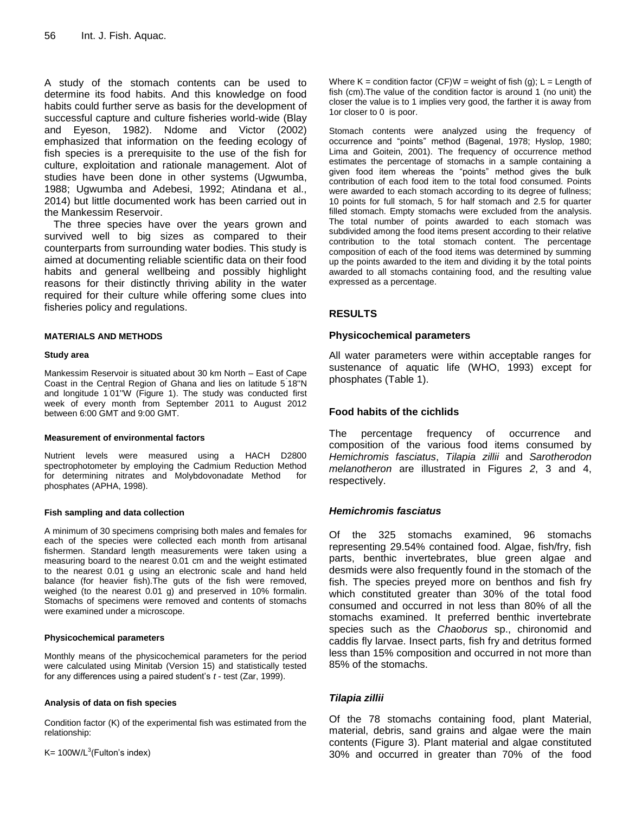A study of the stomach contents can be used to determine its food habits. And this knowledge on food habits could further serve as basis for the development of successful capture and culture fisheries world-wide (Blay and Eyeson, 1982). Ndome and Victor (2002) emphasized that information on the feeding ecology of fish species is a prerequisite to the use of the fish for culture, exploitation and rationale management. Alot of studies have been done in other systems (Ugwumba, 1988; Ugwumba and Adebesi, 1992; Atindana et al., 2014) but little documented work has been carried out in the Mankessim Reservoir.

The three species have over the years grown and survived well to big sizes as compared to their counterparts from surrounding water bodies. This study is aimed at documenting reliable scientific data on their food habits and general wellbeing and possibly highlight reasons for their distinctly thriving ability in the water required for their culture while offering some clues into fisheries policy and regulations.

#### **MATERIALS AND METHODS**

#### **Study area**

Mankessim Reservoir is situated about 30 km North – East of Cape Coast in the Central Region of Ghana and lies on latitude 5˚ 18''N and longitude 1˚ 01''W (Figure 1). The study was conducted first week of every month from September 2011 to August 2012 between 6:00 GMT and 9:00 GMT.

#### **Measurement of environmental factors**

Nutrient levels were measured using a HACH D2800 spectrophotometer by employing the Cadmium Reduction Method for determining nitrates and Molybdovonadate Method for phosphates (APHA, 1998).

#### **Fish sampling and data collection**

A minimum of 30 specimens comprising both males and females for each of the species were collected each month from artisanal fishermen. Standard length measurements were taken using a measuring board to the nearest 0.01 cm and the weight estimated to the nearest 0.01 g using an electronic scale and hand held balance (for heavier fish).The guts of the fish were removed, weighed (to the nearest 0.01 g) and preserved in 10% formalin. Stomachs of specimens were removed and contents of stomachs were examined under a microscope.

#### **Physicochemical parameters**

Monthly means of the physicochemical parameters for the period were calculated using Minitab (Version 15) and statistically tested for any differences using a paired student's *t* - test (Zar, 1999).

#### **Analysis of data on fish species**

Condition factor (K) of the experimental fish was estimated from the relationship:

 $K = 100W/L^3$ (Fulton's index)

Where  $K =$  condition factor (CF)W = weight of fish (g); L = Length of fish (cm).The value of the condition factor is around 1 (no unit) the closer the value is to 1 implies very good, the farther it is away from 1or closer to 0 is poor.

Stomach contents were analyzed using the frequency of occurrence and "points" method (Bagenal, 1978; Hyslop, 1980; Lima and Goitein, 2001). The frequency of occurrence method estimates the percentage of stomachs in a sample containing a given food item whereas the "points" method gives the bulk contribution of each food item to the total food consumed. Points were awarded to each stomach according to its degree of fullness; 10 points for full stomach, 5 for half stomach and 2.5 for quarter filled stomach. Empty stomachs were excluded from the analysis. The total number of points awarded to each stomach was subdivided among the food items present according to their relative contribution to the total stomach content. The percentage composition of each of the food items was determined by summing up the points awarded to the item and dividing it by the total points awarded to all stomachs containing food, and the resulting value expressed as a percentage.

#### **RESULTS**

#### **Physicochemical parameters**

All water parameters were within acceptable ranges for sustenance of aquatic life (WHO, 1993) except for phosphates (Table 1).

### **Food habits of the cichlids**

The percentage frequency of occurrence and composition of the various food items consumed by *Hemichromis fasciatus*, *Tilapia zillii* and *Sarotherodon melanotheron* are illustrated in Figures *2*, 3 and 4, respectively.

#### *Hemichromis fasciatus*

Of the 325 stomachs examined, 96 stomachs representing 29.54% contained food. Algae, fish/fry, fish parts, benthic invertebrates, blue green algae and desmids were also frequently found in the stomach of the fish. The species preyed more on benthos and fish fry which constituted greater than 30% of the total food consumed and occurred in not less than 80% of all the stomachs examined. It preferred benthic invertebrate species such as the *Chaoborus* sp., chironomid and caddis fly larvae. Insect parts, fish fry and detritus formed less than 15% composition and occurred in not more than 85% of the stomachs.

#### *Tilapia zillii*

Of the 78 stomachs containing food, plant Material, material, debris, sand grains and algae were the main contents (Figure 3). Plant material and algae constituted 30% and occurred in greater than 70% of the food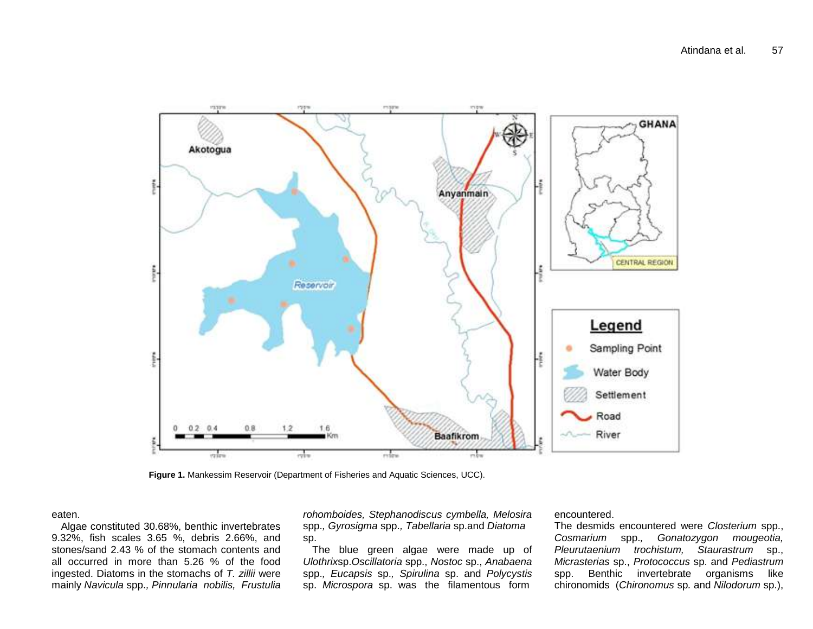

**Figure 1.** Mankessim Reservoir (Department of Fisheries and Aquatic Sciences, UCC).

#### eaten.

Algae constituted 30.68%, benthic invertebrates 9.32%, fish scales 3.65 %, debris 2.66%, and stones/sand 2.43 % of the stomach contents and all occurred in more than 5.26 % of the food ingested. Diatoms in the stomachs of *T. zillii* were mainly *Navicula* spp.*, Pinnularia nobilis, Frustulia* 

*rohomboides, Stephanodiscus cymbella, Melosira*  spp.*, Gyrosigma* spp.*, Tabellaria* sp.and *Diatoma*  sp.

The blue green algae were made up of *Ulothrix*sp.*Oscillatoria* spp., *Nostoc* sp., *Anabaena*  spp.*, Eucapsis* sp.*, Spirulina* sp. and *Polycystis*  sp. *Microspora* sp. was the filamentous form

#### encountered.

The desmids encountered were *Closterium* spp., *Cosmarium* spp.*, Gonatozygon mougeotia, Pleurutaenium trochistum, Staurastrum* sp., *Micrasterias* sp., *Protococcus* sp. and *Pediastrum*  spp. Benthic invertebrate organisms like chironomids (*Chironomus* sp*.* and *Nilodorum* sp.),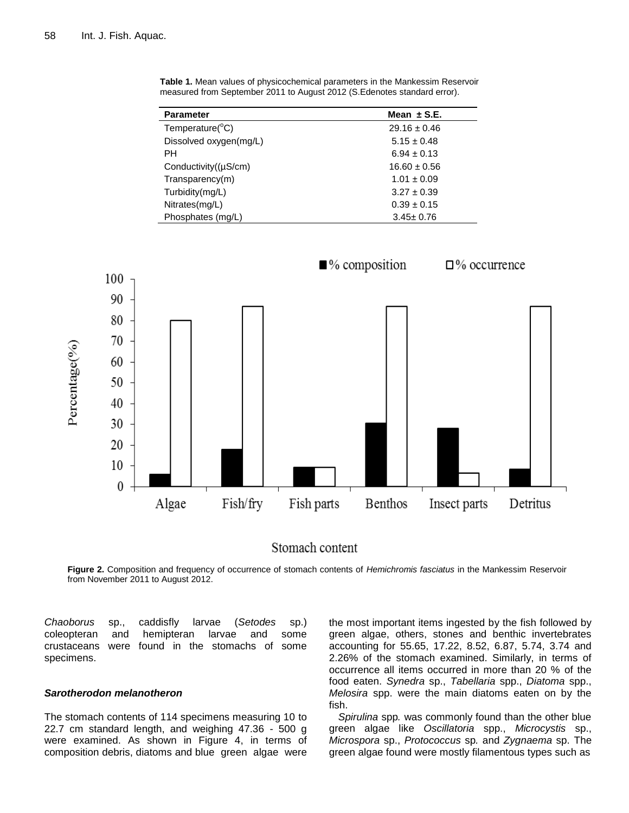| <b>Parameter</b>             | Mean $\pm$ S.E.  |
|------------------------------|------------------|
| Temperature( ${}^{\circ}$ C) | $29.16 \pm 0.46$ |
| Dissolved oxygen(mg/L)       | $5.15 \pm 0.48$  |
| PH                           | $6.94 \pm 0.13$  |
| Conductivity $((\mu S/cm))$  | $16.60 \pm 0.56$ |
| Transparencv(m)              | $1.01 \pm 0.09$  |
| Turbidity(mg/L)              | $3.27 \pm 0.39$  |
| Nitrates(mg/L)               | $0.39 \pm 0.15$  |
| Phosphates (mg/L)            | $3.45 \pm 0.76$  |

**Table 1.** Mean values of physicochemical parameters in the Mankessim Reservoir measured from September 2011 to August 2012 (S.Edenotes standard error).



Stomach content

**Figure 2.** Composition and frequency of occurrence of stomach contents of *Hemichromis fasciatus* in the Mankessim Reservoir from November 2011 to August 2012.

*Chaoborus* sp., caddisfly larvae (*Setodes* sp.) coleopteran and hemipteran larvae and some crustaceans were found in the stomachs of some specimens.

#### *Sarotherodon melanotheron*

The stomach contents of 114 specimens measuring 10 to 22.7 cm standard length, and weighing 47.36 - 500 g were examined. As shown in Figure 4, in terms of composition debris, diatoms and blue green algae were

the most important items ingested by the fish followed by green algae, others, stones and benthic invertebrates accounting for 55.65, 17.22, 8.52, 6.87, 5.74, 3.74 and 2.26% of the stomach examined. Similarly, in terms of occurrence all items occurred in more than 20 % of the food eaten. *Synedra* sp., *Tabellaria* spp., *Diatoma* spp., *Melosira* spp. were the main diatoms eaten on by the fish.

*Spirulina* spp*.* was commonly found than the other blue green algae like *Oscillatoria* spp., *Microcystis* sp., *Microspora* sp., *Protococcus* sp*.* and *Zygnaema* sp. The green algae found were mostly filamentous types such as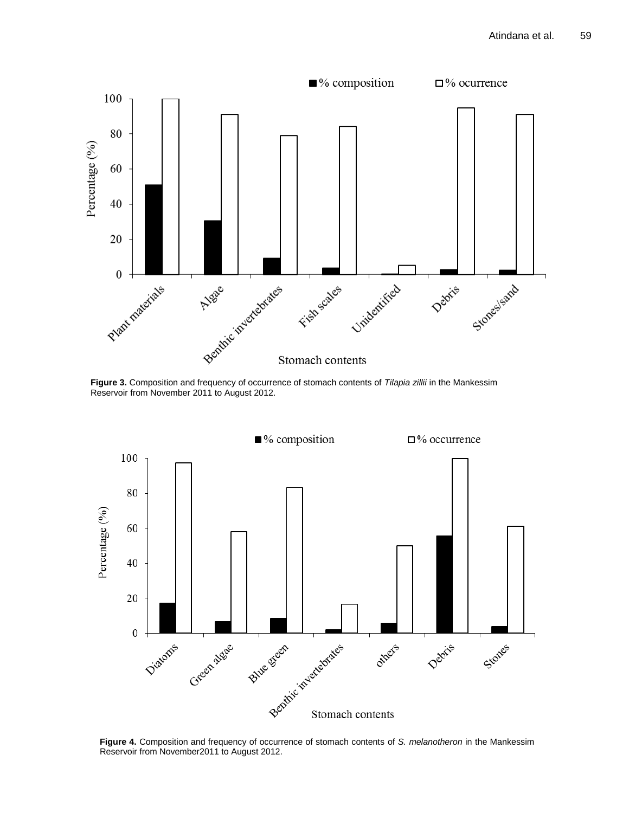

**Figure 3.** Composition and frequency of occurrence of stomach contents of *Tilapia zillii* in the Mankessim Reservoir from November 2011 to August 2012.



**Figure 4.** Composition and frequency of occurrence of stomach contents of *S. melanotheron* in the Mankessim Reservoir from November2011 to August 2012.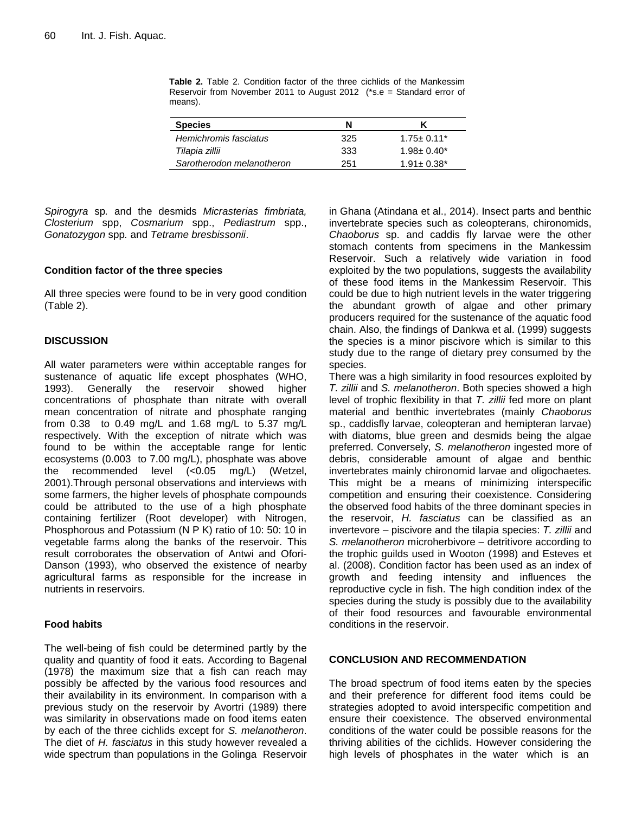| <b>Species</b>            | N   |                   |
|---------------------------|-----|-------------------|
| Hemichromis fasciatus     | 325 | $1.75 \pm 0.11^*$ |
| Tilapia zillii            | 333 | $1.98 \pm 0.40^*$ |
| Sarotherodon melanotheron | 251 | $1.91 + 0.38*$    |

**Table 2.** Table 2. Condition factor of the three cichlids of the Mankessim Reservoir from November 2011 to August 2012 (\*s.e = Standard error of means).

*Spirogyra* sp*.* and the desmids *Micrasterias fimbriata, Closterium* spp, *Cosmarium* spp., *Pediastrum* spp., *Gonatozygon* spp*.* and *Tetrame bresbissonii*.

#### **Condition factor of the three species**

All three species were found to be in very good condition (Table 2).

#### **DISCUSSION**

All water parameters were within acceptable ranges for sustenance of aquatic life except phosphates (WHO, 1993). Generally the reservoir showed higher concentrations of phosphate than nitrate with overall mean concentration of nitrate and phosphate ranging from 0.38 to 0.49 mg/L and 1.68 mg/L to 5.37 mg/L respectively. With the exception of nitrate which was found to be within the acceptable range for lentic ecosystems (0.003 to 7.00 mg/L), phosphate was above the recommended level (<0.05 mg/L) (Wetzel, 2001).Through personal observations and interviews with some farmers, the higher levels of phosphate compounds could be attributed to the use of a high phosphate containing fertilizer (Root developer) with Nitrogen, Phosphorous and Potassium (N P K) ratio of 10: 50: 10 in vegetable farms along the banks of the reservoir. This result corroborates the observation of Antwi and Ofori-Danson (1993), who observed the existence of nearby agricultural farms as responsible for the increase in nutrients in reservoirs.

#### **Food habits**

The well-being of fish could be determined partly by the quality and quantity of food it eats. According to Bagenal (1978) the maximum size that a fish can reach may possibly be affected by the various food resources and their availability in its environment. In comparison with a previous study on the reservoir by Avortri (1989) there was similarity in observations made on food items eaten by each of the three cichlids except for *S. melanotheron*. The diet of *H. fasciatus* in this study however revealed a wide spectrum than populations in the Golinga Reservoir

in Ghana (Atindana et al., 2014). Insect parts and benthic invertebrate species such as coleopterans, chironomids, *Chaoborus* sp. and caddis fly larvae were the other stomach contents from specimens in the Mankessim Reservoir. Such a relatively wide variation in food exploited by the two populations, suggests the availability of these food items in the Mankessim Reservoir. This could be due to high nutrient levels in the water triggering the abundant growth of algae and other primary producers required for the sustenance of the aquatic food chain. Also, the findings of Dankwa et al. (1999) suggests the species is a minor piscivore which is similar to this study due to the range of dietary prey consumed by the species.

There was a high similarity in food resources exploited by *T. zillii* and *S. melanotheron*. Both species showed a high level of trophic flexibility in that *T. zillii* fed more on plant material and benthic invertebrates (mainly *Chaoborus* sp., caddisfly larvae, coleopteran and hemipteran larvae) with diatoms, blue green and desmids being the algae preferred. Conversely, *S. melanotheron* ingested more of debris, considerable amount of algae and benthic invertebrates mainly chironomid larvae and oligochaetes*.* This might be a means of minimizing interspecific competition and ensuring their coexistence. Considering the observed food habits of the three dominant species in the reservoir, *H. fasciatus* can be classified as an invertevore – piscivore and the tilapia species: *T. zillii* and *S. melanotheron* microherbivore – detritivore according to the trophic guilds used in Wooton (1998) and Esteves et al. (2008). Condition factor has been used as an index of growth and feeding intensity and influences the reproductive cycle in fish. The high condition index of the species during the study is possibly due to the availability of their food resources and favourable environmental conditions in the reservoir.

#### **CONCLUSION AND RECOMMENDATION**

The broad spectrum of food items eaten by the species and their preference for different food items could be strategies adopted to avoid interspecific competition and ensure their coexistence. The observed environmental conditions of the water could be possible reasons for the thriving abilities of the cichlids. However considering the high levels of phosphates in the water which is an